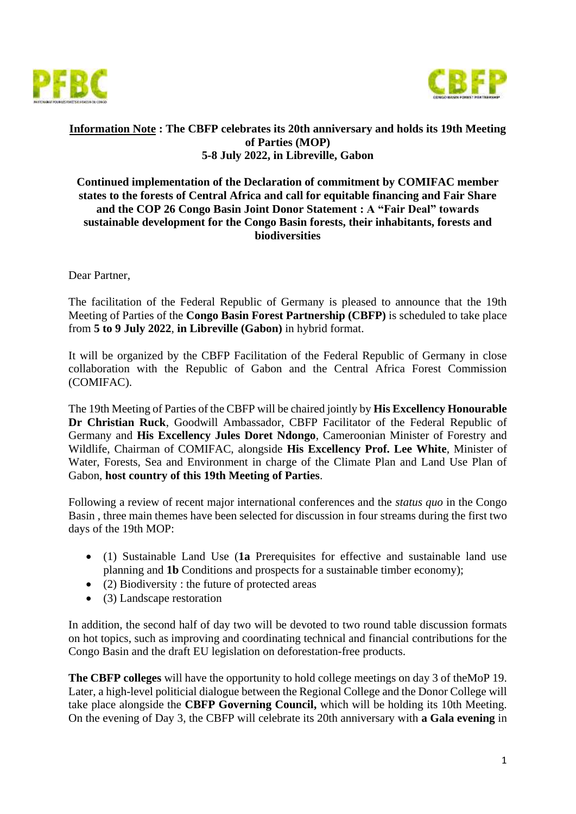



#### **Information Note : The CBFP celebrates its 20th anniversary and holds its 19th Meeting of Parties (MOP) 5-8 July 2022, in Libreville, Gabon**

### **Continued implementation of the Declaration of commitment by COMIFAC member states to the forests of Central Africa and call for equitable financing and Fair Share and the COP 26 Congo Basin Joint Donor Statement : A "Fair Deal" towards sustainable development for the Congo Basin forests, their inhabitants, forests and biodiversities**

Dear Partner,

The facilitation of the Federal Republic of Germany is pleased to announce that the 19th Meeting of Parties of the **Congo Basin Forest Partnership (CBFP)** is scheduled to take place from **5 to 9 July 2022**, **in Libreville (Gabon)** in hybrid format.

It will be organized by the CBFP Facilitation of the Federal Republic of Germany in close collaboration with the Republic of Gabon and the Central Africa Forest Commission (COMIFAC).

The 19th Meeting of Parties of the CBFP will be chaired jointly by **His Excellency Honourable Dr Christian Ruck**, Goodwill Ambassador, CBFP Facilitator of the Federal Republic of Germany and **His Excellency Jules Doret Ndongo**, Cameroonian Minister of Forestry and Wildlife, Chairman of COMIFAC, alongside **His Excellency Prof. Lee White**, Minister of Water, Forests, Sea and Environment in charge of the Climate Plan and Land Use Plan of Gabon, **host country of this 19th Meeting of Parties**.

Following a review of recent major international conferences and the *status quo* in the Congo Basin , three main themes have been selected for discussion in four streams during the first two days of the 19th MOP:

- (1) Sustainable Land Use (**1a** Prerequisites for effective and sustainable land use planning and **1b** Conditions and prospects for a sustainable timber economy);
- (2) Biodiversity : the future of protected areas
- (3) Landscape restoration

In addition, the second half of day two will be devoted to two round table discussion formats on hot topics, such as improving and coordinating technical and financial contributions for the Congo Basin and the draft EU legislation on deforestation-free products.

**The CBFP colleges** will have the opportunity to hold college meetings on day 3 of theMoP 19. Later, a high-level politicial dialogue between the Regional College and the Donor College will take place alongside the **CBFP Governing Council,** which will be holding its 10th Meeting. On the evening of Day 3, the CBFP will celebrate its 20th anniversary with **a Gala evening** in